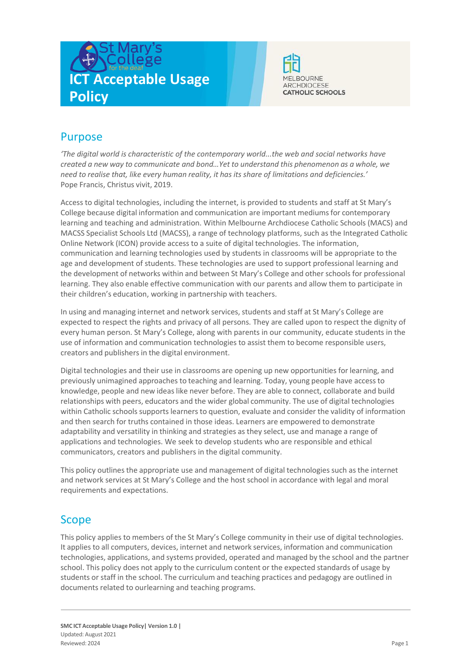



# Purpose

*'The digital world is characteristic of the contemporary world...the web and social networks have created a new way to communicate and bond…Yet to understand this phenomenon as a whole, we need to realise that, like every human reality, it has its share of limitations and deficiencies.'* Pope Francis, Christus vivit, 2019.

Access to digital technologies, including the internet, is provided to students and staff at St Mary's College because digital information and communication are important mediumsfor contemporary learning and teaching and administration. Within Melbourne Archdiocese Catholic Schools (MACS) and MACSS Specialist Schools Ltd (MACSS), a range of technology platforms, such as the Integrated Catholic Online Network (ICON) provide access to a suite of digital technologies. The information, communication and learning technologies used by students in classrooms will be appropriate to the age and development of students. These technologies are used to support professional learning and the development of networks within and between St Mary's College and other schools for professional learning. They also enable effective communication with our parents and allow them to participate in their children's education, working in partnership with teachers.

In using and managing internet and network services, students and staff at St Mary's College are expected to respect the rights and privacy of all persons. They are called upon to respect the dignity of every human person. St Mary's College, along with parents in our community, educate students in the use of information and communication technologies to assist them to become responsible users, creators and publishers in the digital environment.

Digital technologies and their use in classrooms are opening up new opportunities for learning, and previously unimagined approaches to teaching and learning. Today, young people have accessto knowledge, people and new ideas like never before. They are able to connect, collaborate and build relationships with peers, educators and the wider global community. The use of digital technologies within Catholic schools supports learners to question, evaluate and consider the validity of information and then search for truths contained in those ideas. Learners are empowered to demonstrate adaptability and versatility in thinking and strategies as they select, use and manage a range of applications and technologies. We seek to develop students who are responsible and ethical communicators, creators and publishers in the digital community.

This policy outlines the appropriate use and management of digital technologies such as the internet and network services at St Mary's College and the host school in accordance with legal and moral requirements and expectations.

### Scope

This policy applies to members of the St Mary's College community in their use of digital technologies. It applies to all computers, devices, internet and network services, information and communication technologies, applications, and systems provided, operated and managed by the school and the partner school. This policy does not apply to the curriculum content or the expected standards of usage by students or staff in the school. The curriculum and teaching practices and pedagogy are outlined in documents related to ourlearning and teaching programs.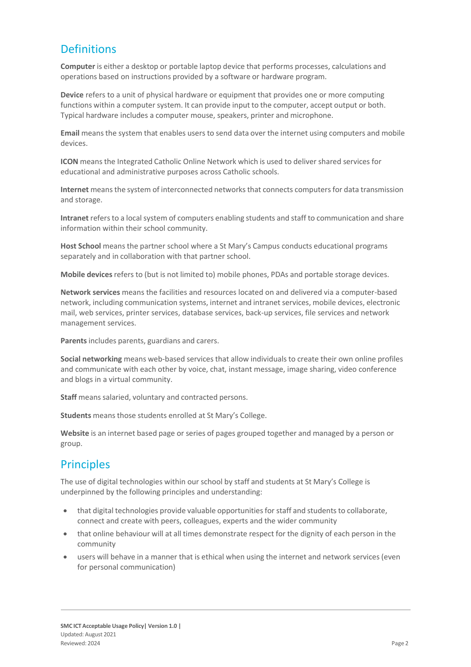# **Definitions**

**Computer** is either a desktop or portable laptop device that performs processes, calculations and operations based on instructions provided by a software or hardware program.

**Device** refers to a unit of physical hardware or equipment that provides one or more computing functions within a computer system. It can provide input to the computer, accept output or both. Typical hardware includes a computer mouse, speakers, printer and microphone.

**Email** means the system that enables users to send data over the internet using computers and mobile devices.

**ICON** means the Integrated Catholic Online Network which is used to deliver shared services for educational and administrative purposes across Catholic schools.

**Internet** means the system of interconnected networks that connects computers for data transmission and storage.

Intranet refers to a local system of computers enabling students and staff to communication and share information within their school community.

**Host School** means the partner school where a St Mary's Campus conducts educational programs separately and in collaboration with that partner school.

**Mobile devices**refers to (but is not limited to) mobile phones, PDAs and portable storage devices.

**Network services** means the facilities and resources located on and delivered via a computer-based network, including communication systems, internet and intranet services, mobile devices, electronic mail, web services, printer services, database services, back-up services, file services and network management services.

**Parents**includes parents, guardians and carers.

**Social networking** means web-based services that allow individuals to create their own online profiles and communicate with each other by voice, chat, instant message, image sharing, video conference and blogs in a virtual community.

Staff means salaried, voluntary and contracted persons.

**Students** means those students enrolled at St Mary's College.

**Website** is an internet based page or series of pages grouped together and managed by a person or group.

# **Principles**

The use of digital technologies within our school by staff and students at St Mary's College is underpinned by the following principles and understanding:

- that digital technologies provide valuable opportunities for staff and students to collaborate, connect and create with peers, colleagues, experts and the wider community
- that online behaviour will at all times demonstrate respect for the dignity of each person in the community
- users will behave in a manner that is ethical when using the internet and network services (even for personal communication)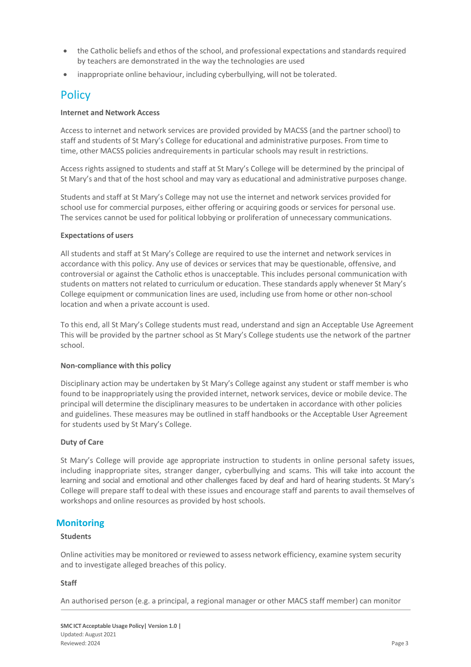- the Catholic beliefs and ethos of the school, and professional expectations and standards required by teachers are demonstrated in the way the technologies are used
- inappropriate online behaviour, including cyberbullying, will not be tolerated.

### **Policy**

#### **Internet and Network Access**

Access to internet and network services are provided provided by MACSS (and the partner school) to staff and students of St Mary's College for educational and administrative purposes. From time to time, other MACSS policies andrequirements in particular schools may result in restrictions.

Access rights assigned to students and staff at St Mary's College will be determined by the principal of St Mary's and that of the host school and may vary as educational and administrative purposes change.

Students and staff at St Mary's College may not use the internet and network services provided for school use for commercial purposes, either offering or acquiring goods or services for personal use. The services cannot be used for political lobbying or proliferation of unnecessary communications.

#### **Expectations of users**

All students and staff at St Mary's College are required to use the internet and network services in accordance with this policy. Any use of devices or services that may be questionable, offensive, and controversial or against the Catholic ethos is unacceptable. This includes personal communication with students on matters not related to curriculum or education. These standards apply whenever St Mary's College equipment or communication lines are used, including use from home or other non-school location and when a private account is used.

To this end, all St Mary's College students must read, understand and sign an Acceptable Use Agreement This will be provided by the partner school as St Mary's College students use the network of the partner school.

#### **Non-compliance with this policy**

Disciplinary action may be undertaken by St Mary's College against any student or staff member is who found to be inappropriately using the provided internet, network services, device or mobile device. The principal will determine the disciplinary measures to be undertaken in accordance with other policies and guidelines. These measures may be outlined in staff handbooks or the Acceptable User Agreement for students used by St Mary's College.

#### **Duty of Care**

St Mary's College will provide age appropriate instruction to students in online personal safety issues, including inappropriate sites, stranger danger, cyberbullying and scams. This will take into account the learning and social and emotional and other challenges faced by deaf and hard of hearing students. St Mary's College will prepare staff todeal with these issues and encourage staff and parents to avail themselves of workshops and online resources as provided by host schools.

### **Monitoring**

#### **Students**

Online activities may be monitored or reviewed to assess network efficiency, examine system security and to investigate alleged breaches of this policy.

#### **Staff**

An authorised person (e.g. a principal, a regional manager or other MACS staff member) can monitor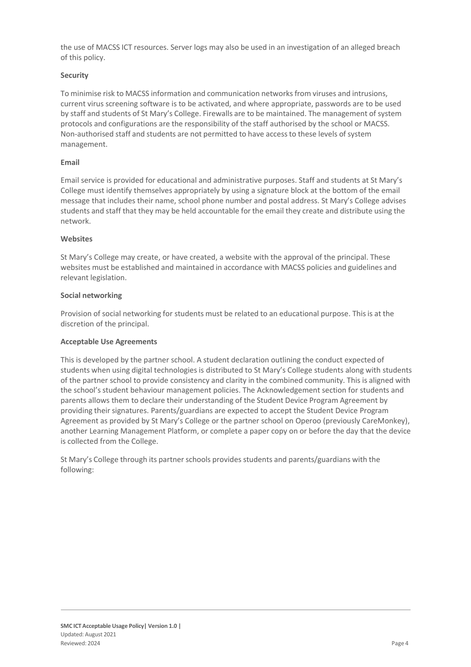the use of MACSS ICT resources. Server logs may also be used in an investigation of an alleged breach of this policy.

#### **Security**

To minimise risk to MACSS information and communication networksfrom viruses and intrusions, current virus screening software is to be activated, and where appropriate, passwords are to be used by staff and students of St Mary's College. Firewalls are to be maintained. The management of system protocols and configurations are the responsibility of the staff authorised by the school or MACSS. Non-authorised staff and students are not permitted to have access to these levels of system management.

#### **Email**

Email service is provided for educational and administrative purposes. Staff and students at St Mary's College must identify themselves appropriately by using a signature block at the bottom of the email message that includes their name, school phone number and postal address. St Mary's College advises students and staff that they may be held accountable for the email they create and distribute using the network.

#### **Websites**

St Mary's College may create, or have created, a website with the approval of the principal. These websites must be established and maintained in accordance with MACSS policies and guidelines and relevant legislation.

#### **Social networking**

Provision of social networking for students must be related to an educational purpose. Thisis at the discretion of the principal.

#### **Acceptable Use Agreements**

This is developed by the partner school. A student declaration outlining the conduct expected of students when using digital technologies is distributed to St Mary's College students along with students of the partner school to provide consistency and clarity in the combined community. This is aligned with the school's student behaviour management policies. The Acknowledgement section for students and parents allows them to declare their understanding of the Student Device Program Agreement by providing their signatures. Parents/guardians are expected to accept the Student Device Program Agreement as provided by St Mary's College or the partner school on Operoo (previously CareMonkey), another Learning Management Platform, or complete a paper copy on or before the day that the device is collected from the College.

St Mary's College through its partner schools provides students and parents/guardians with the following: